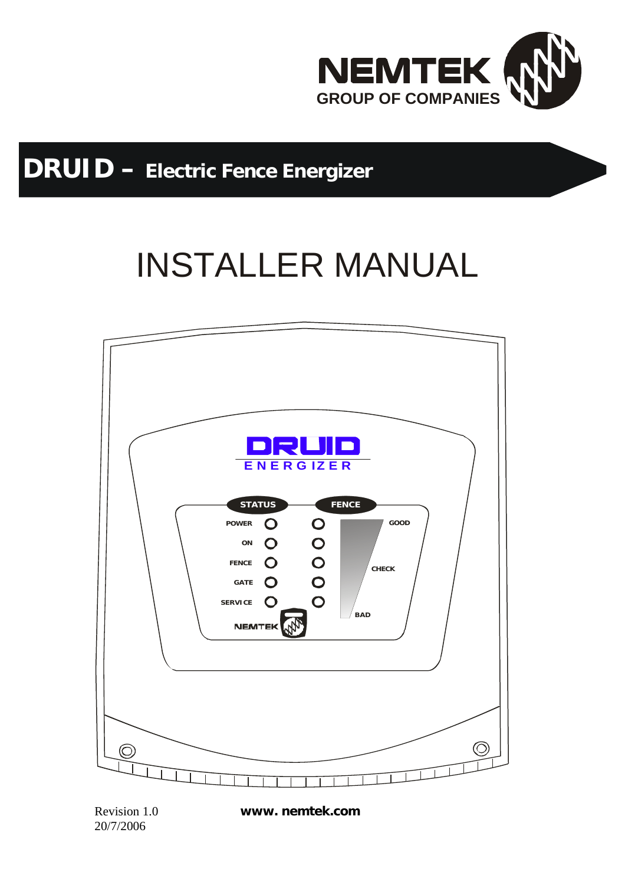

## **DRUID – Electric Fence Energizer**

# INSTALLER MANUAL



20/7/2006

Revision 1.0 **www. nemtek.com**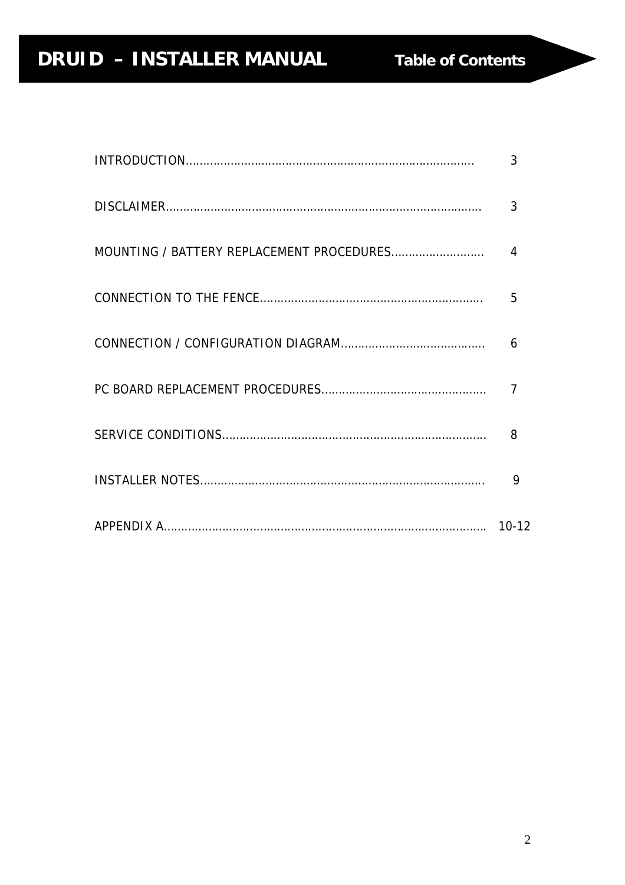| 3                           |
|-----------------------------|
| 3                           |
| $\boldsymbol{\vartriangle}$ |
| 5                           |
| 6                           |
| $\overline{7}$              |
| 8                           |
| 9                           |
|                             |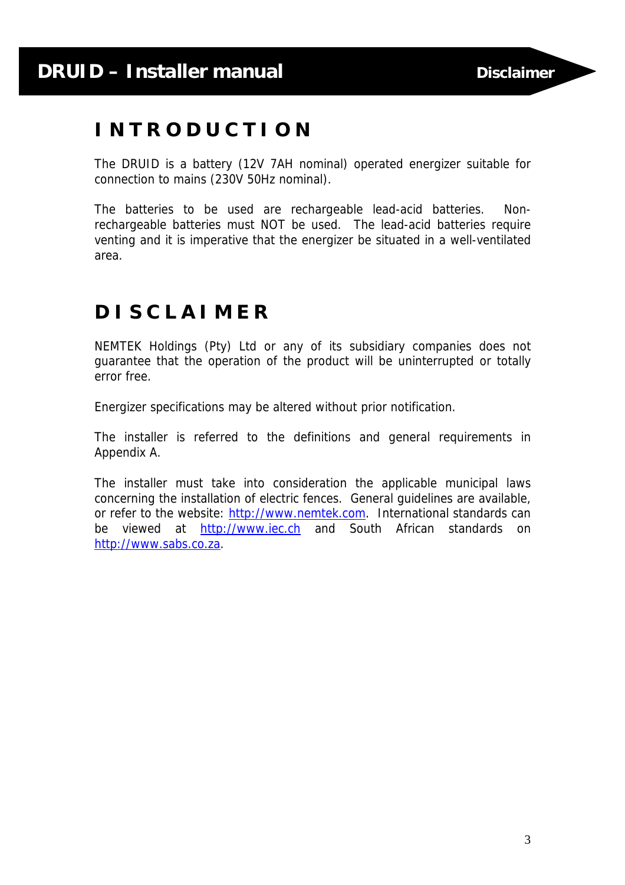### **I N T R O D U C T I O N**

The DRUID is a battery (12V 7AH nominal) operated energizer suitable for connection to mains (230V 50Hz nominal).

The batteries to be used are rechargeable lead-acid batteries. Nonrechargeable batteries must NOT be used. The lead-acid batteries require venting and it is imperative that the energizer be situated in a well-ventilated area.

### **D I S C L A I M E R**

NEMTEK Holdings (Pty) Ltd or any of its subsidiary companies does not guarantee that the operation of the product will be uninterrupted or totally error free.

Energizer specifications may be altered without prior notification.

The installer is referred to the definitions and general requirements in Appendix A.

The installer must take into consideration the applicable municipal laws concerning the installation of electric fences. General guidelines are available, or refer to the website: http://www.nemtek.com. International standards can be viewed at http://www.iec.ch and South African standards on http://www.sabs.co.za.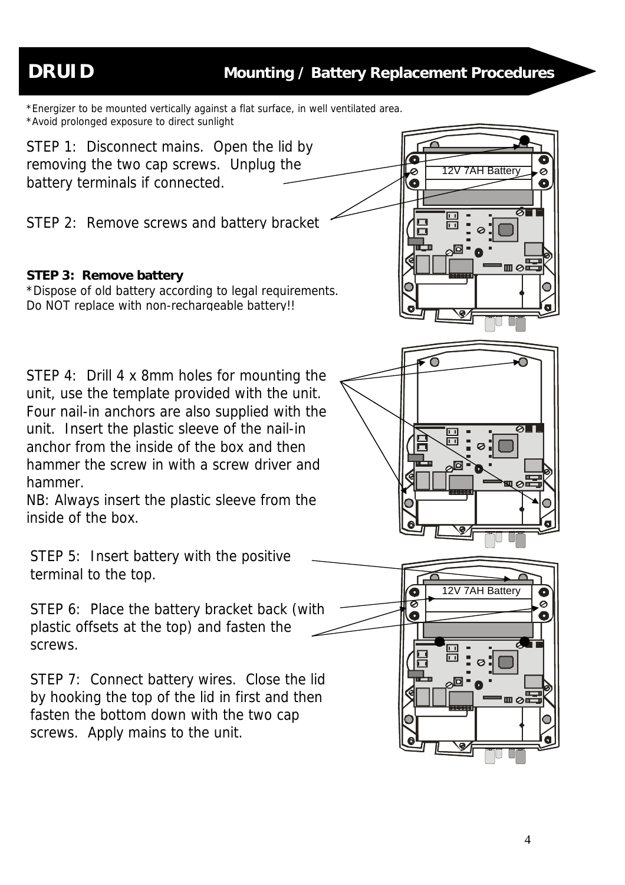\*Energizer to be mounted vertically against a flat surface, in well ventilated area.<br>\*Avoid prolenged expective to direct suplight. \*Avoid prolonged exposure to direct sunlight

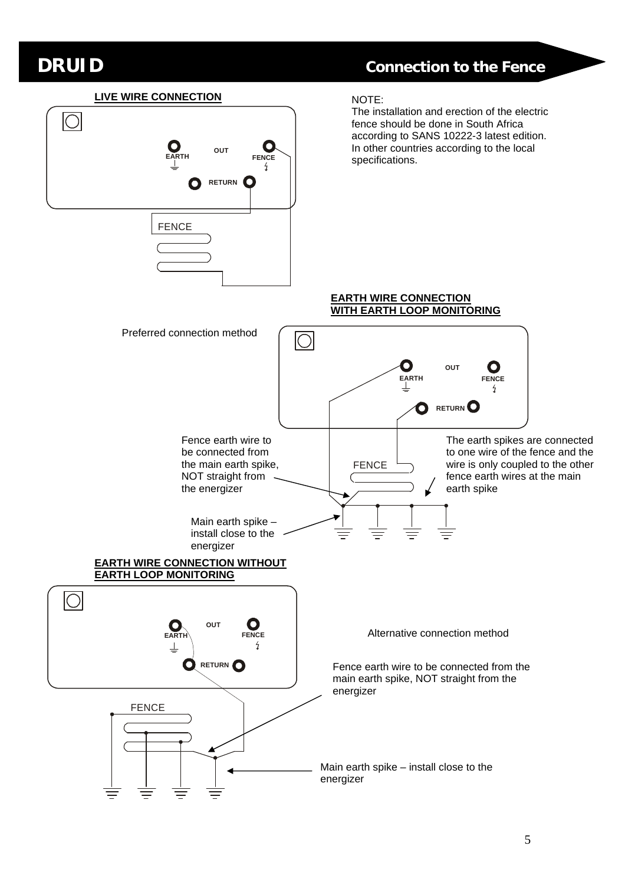### **DRUID Connection to the Fence**

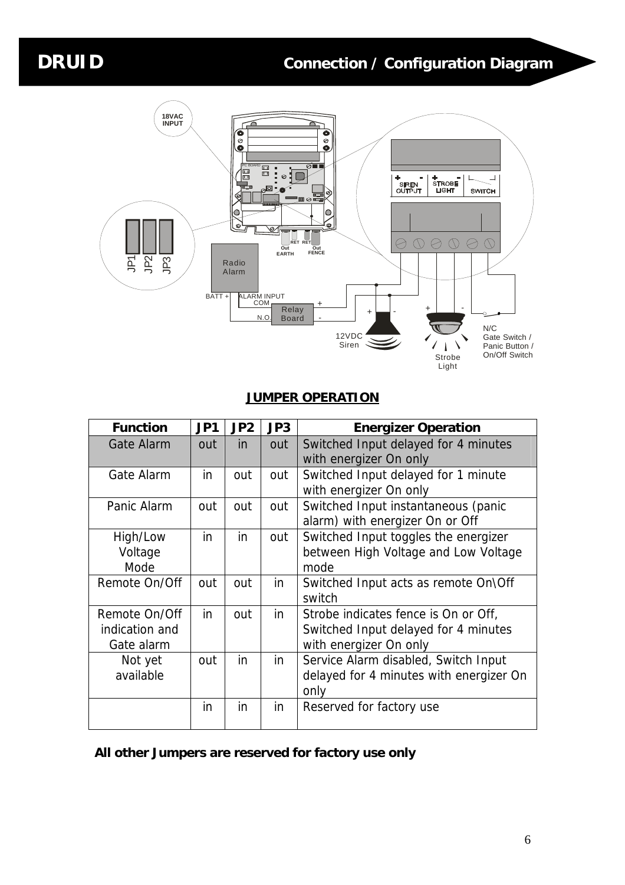

#### **JUMPER OPERATION**

| <b>Function</b> | JP1 | JP2 | JP3 | <b>Energizer Operation</b>              |  |
|-----------------|-----|-----|-----|-----------------------------------------|--|
| Gate Alarm      | out | in  | out | Switched Input delayed for 4 minutes    |  |
|                 |     |     |     | with energizer On only                  |  |
| Gate Alarm      | in  | out | out | Switched Input delayed for 1 minute     |  |
|                 |     |     |     | with energizer On only                  |  |
| Panic Alarm     | out | out | out | Switched Input instantaneous (panic     |  |
|                 |     |     |     | alarm) with energizer On or Off         |  |
| High/Low        | in  | in  | out | Switched Input toggles the energizer    |  |
| Voltage         |     |     |     | between High Voltage and Low Voltage    |  |
| Mode            |     |     |     | mode                                    |  |
| Remote On/Off   | out | out | in  | Switched Input acts as remote On\Off    |  |
|                 |     |     |     | switch                                  |  |
| Remote On/Off   | in  | out | in  | Strobe indicates fence is On or Off,    |  |
| indication and  |     |     |     | Switched Input delayed for 4 minutes    |  |
| Gate alarm      |     |     |     | with energizer On only                  |  |
| Not yet         | out | in  | in  | Service Alarm disabled, Switch Input    |  |
| available       |     |     |     | delayed for 4 minutes with energizer On |  |
|                 |     |     |     | only                                    |  |
|                 | in  | in  | in  | Reserved for factory use                |  |
|                 |     |     |     |                                         |  |

#### **All other Jumpers are reserved for factory use only**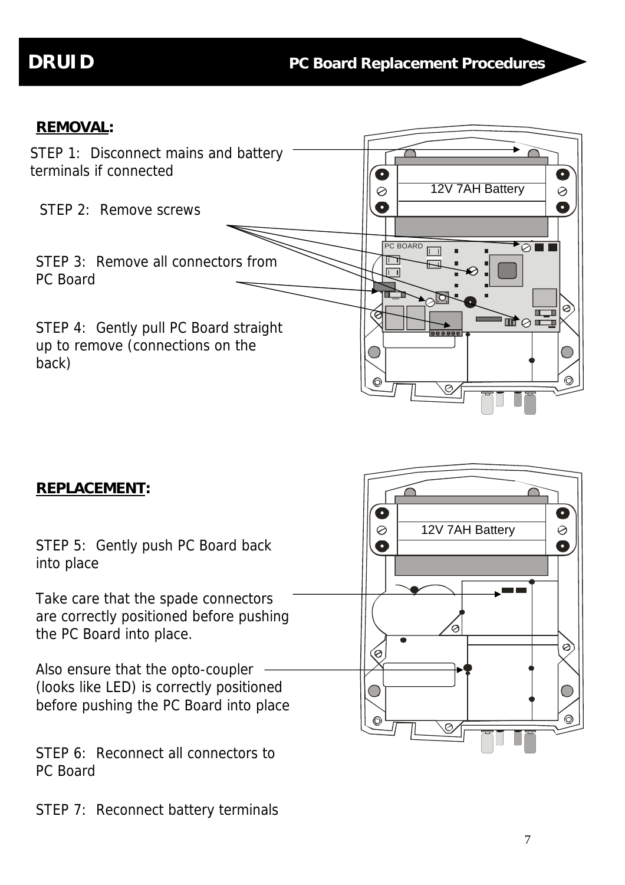### **REMOVAL:**



#### **REPLACEMENT:**

STEP 5: Gently push PC Board back into place

Take care that the spade connectors are correctly positioned before pushing the PC Board into place.

Also ensure that the opto-coupler (looks like LED) is correctly positioned before pushing the PC Board into place

STEP 6: Reconnect all connectors to PC Board

STEP 7: Reconnect battery terminals

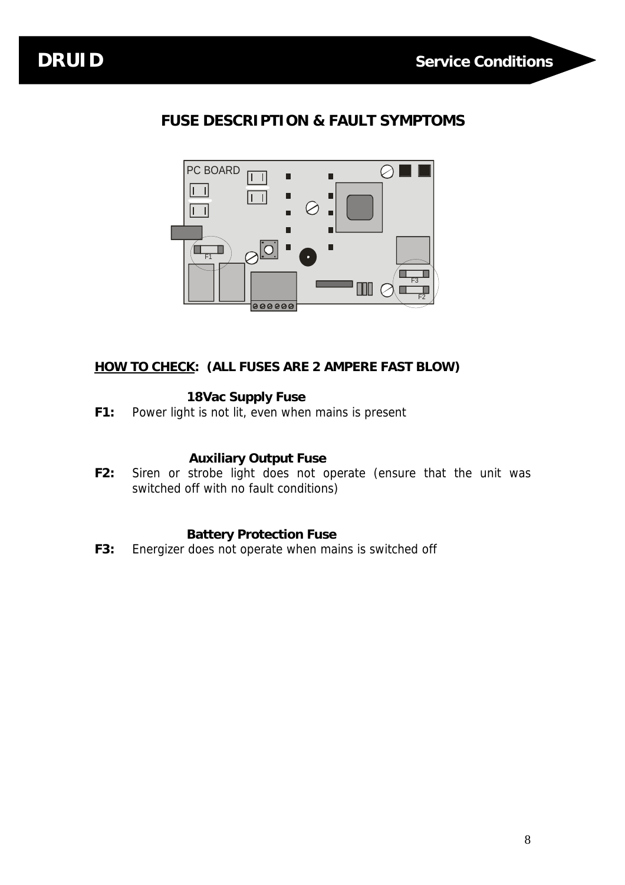

### **FUSE DESCRIPTION & FAULT SYMPTOMS**



#### **HOW TO CHECK: (ALL FUSES ARE 2 AMPERE FAST BLOW)**

#### **18Vac Supply Fuse**

**F1:** Power light is not lit, even when mains is present

#### **Auxiliary Output Fuse**

**F2:** Siren or strobe light does not operate (ensure that the unit was switched off with no fault conditions)

#### **Battery Protection Fuse**

**F3:** Energizer does not operate when mains is switched off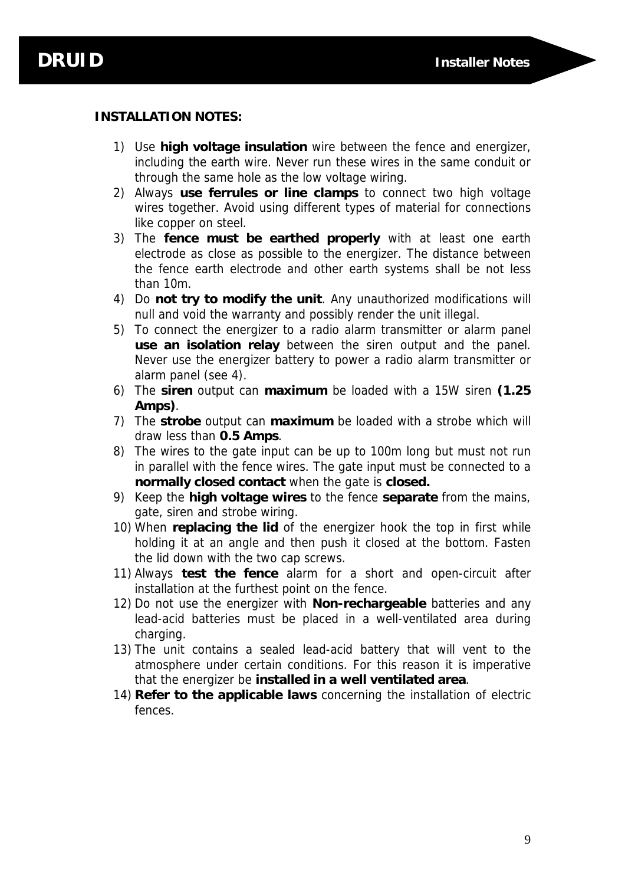#### **INSTALLATION NOTES:**

- 1) Use **high voltage insulation** wire between the fence and energizer, including the earth wire. Never run these wires in the same conduit or through the same hole as the low voltage wiring.
- 2) Always **use ferrules or line clamps** to connect two high voltage wires together. Avoid using different types of material for connections like copper on steel.
- 3) The **fence must be earthed properly** with at least one earth electrode as close as possible to the energizer. The distance between the fence earth electrode and other earth systems shall be not less than 10m.
- 4) Do **not try to modify the unit**. Any unauthorized modifications will null and void the warranty and possibly render the unit illegal.
- 5) To connect the energizer to a radio alarm transmitter or alarm panel **use an isolation relay** between the siren output and the panel. Never use the energizer battery to power a radio alarm transmitter or alarm panel (see 4).
- 6) The **siren** output can **maximum** be loaded with a 15W siren **(1.25 Amps)**.
- 7) The **strobe** output can **maximum** be loaded with a strobe which will draw less than **0.5 Amps**.
- 8) The wires to the gate input can be up to 100m long but must not run in parallel with the fence wires. The gate input must be connected to a **normally closed contact** when the gate is **closed.**
- 9) Keep the **high voltage wires** to the fence **separate** from the mains, gate, siren and strobe wiring.
- 10) When **replacing the lid** of the energizer hook the top in first while holding it at an angle and then push it closed at the bottom. Fasten the lid down with the two cap screws.
- 11) Always **test the fence** alarm for a short and open-circuit after installation at the furthest point on the fence.
- 12) Do not use the energizer with **Non-rechargeable** batteries and any lead-acid batteries must be placed in a well-ventilated area during charging.
- 13) The unit contains a sealed lead-acid battery that will vent to the atmosphere under certain conditions. For this reason it is imperative that the energizer be **installed in a well ventilated area**.
- 14) **Refer to the applicable laws** concerning the installation of electric fences.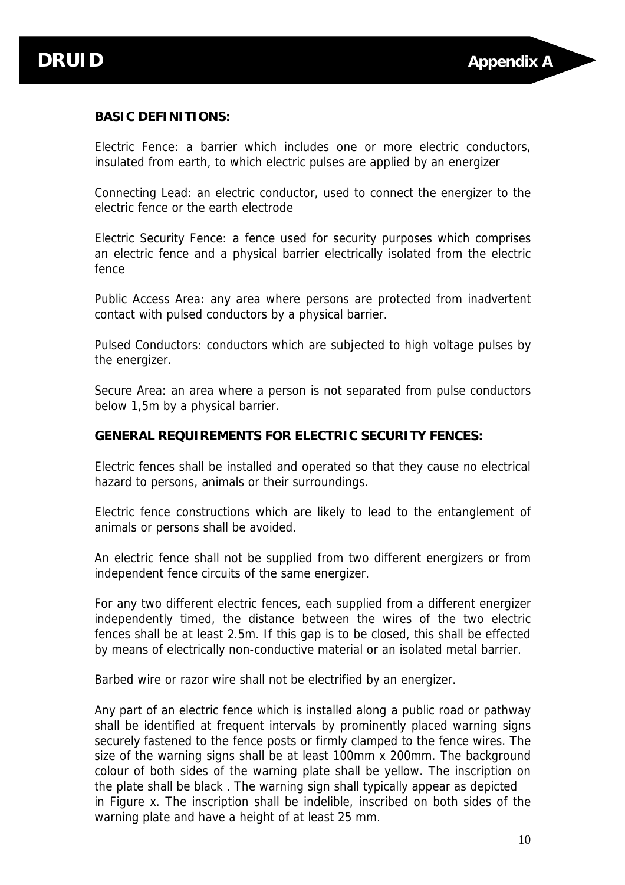#### **BASIC DEFINITIONS:**

Electric Fence: a barrier which includes one or more electric conductors, insulated from earth, to which electric pulses are applied by an energizer

Connecting Lead: an electric conductor, used to connect the energizer to the electric fence or the earth electrode

Electric Security Fence: a fence used for security purposes which comprises an electric fence and a physical barrier electrically isolated from the electric fence

Public Access Area: any area where persons are protected from inadvertent contact with pulsed conductors by a physical barrier.

Pulsed Conductors: conductors which are subjected to high voltage pulses by the energizer.

Secure Area: an area where a person is not separated from pulse conductors below 1,5m by a physical barrier.

#### **GENERAL REQUIREMENTS FOR ELECTRIC SECURITY FENCES:**

Electric fences shall be installed and operated so that they cause no electrical hazard to persons, animals or their surroundings.

Electric fence constructions which are likely to lead to the entanglement of animals or persons shall be avoided.

An electric fence shall not be supplied from two different energizers or from independent fence circuits of the same energizer.

For any two different electric fences, each supplied from a different energizer independently timed, the distance between the wires of the two electric fences shall be at least 2.5m. If this gap is to be closed, this shall be effected by means of electrically non-conductive material or an isolated metal barrier.

Barbed wire or razor wire shall not be electrified by an energizer.

Any part of an electric fence which is installed along a public road or pathway shall be identified at frequent intervals by prominently placed warning signs securely fastened to the fence posts or firmly clamped to the fence wires. The size of the warning signs shall be at least 100mm x 200mm. The background colour of both sides of the warning plate shall be yellow. The inscription on the plate shall be black . The warning sign shall typically appear as depicted in Figure x. The inscription shall be indelible, inscribed on both sides of the warning plate and have a height of at least 25 mm.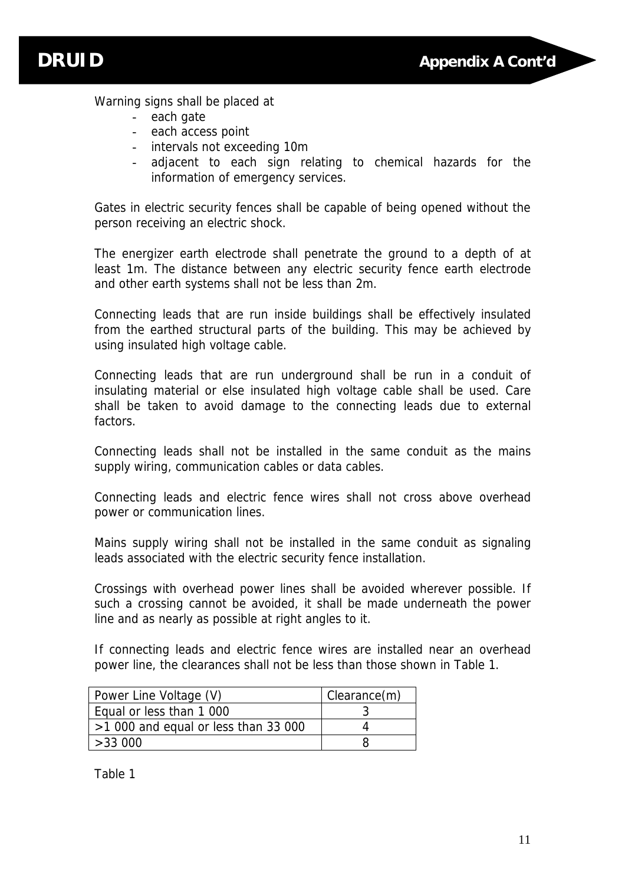

Warning signs shall be placed at

- each gate
- each access point
- intervals not exceeding 10m
- adjacent to each sign relating to chemical hazards for the information of emergency services.

Gates in electric security fences shall be capable of being opened without the person receiving an electric shock.

The energizer earth electrode shall penetrate the ground to a depth of at least 1m. The distance between any electric security fence earth electrode and other earth systems shall not be less than 2m.

Connecting leads that are run inside buildings shall be effectively insulated from the earthed structural parts of the building. This may be achieved by using insulated high voltage cable.

Connecting leads that are run underground shall be run in a conduit of insulating material or else insulated high voltage cable shall be used. Care shall be taken to avoid damage to the connecting leads due to external factors.

Connecting leads shall not be installed in the same conduit as the mains supply wiring, communication cables or data cables.

Connecting leads and electric fence wires shall not cross above overhead power or communication lines.

Mains supply wiring shall not be installed in the same conduit as signaling leads associated with the electric security fence installation.

Crossings with overhead power lines shall be avoided wherever possible. If such a crossing cannot be avoided, it shall be made underneath the power line and as nearly as possible at right angles to it.

If connecting leads and electric fence wires are installed near an overhead power line, the clearances shall not be less than those shown in Table 1.

| Power Line Voltage (V)               | Clearance(m) |
|--------------------------------------|--------------|
| Equal or less than 1 000             |              |
| $>1000$ and equal or less than 33000 |              |
| >33000                               |              |

Table 1